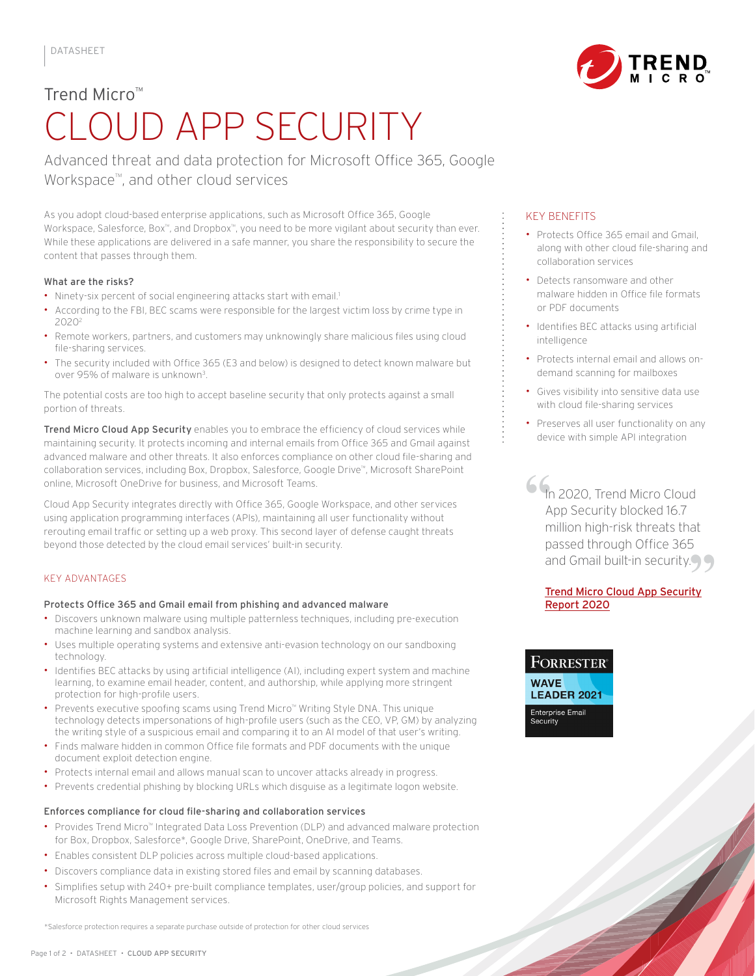# Trend Micro™ CLOUD APP SECURITY

Advanced threat and data protection for Microsoft Office 365, Google Workspace™, and other cloud services

As you adopt cloud-based enterprise applications, such as Microsoft Office 365, Google Workspace, Salesforce, Box™, and Dropbox™, you need to be more vigilant about security than ever. While these applications are delivered in a safe manner, you share the responsibility to secure the content that passes through them.

### What are the risks?

- Ninety-six percent of social engineering attacks start with email.<sup>1</sup>
- According to the FBI, BEC scams were responsible for the largest victim loss by crime type in 20202
- Remote workers, partners, and customers may unknowingly share malicious files using cloud file-sharing services.
- The security included with Office 365 (E3 and below) is designed to detect known malware but over 95% of malware is unknown3.

The potential costs are too high to accept baseline security that only protects against a small portion of threats.

Trend Micro Cloud App Security enables you to embrace the efficiency of cloud services while maintaining security. It protects incoming and internal emails from Office 365 and Gmail against advanced malware and other threats. It also enforces compliance on other cloud file-sharing and collaboration services, including Box, Dropbox, Salesforce, Google Drive™, Microsoft SharePoint online, Microsoft OneDrive for business, and Microsoft Teams.

Cloud App Security integrates directly with Office 365, Google Workspace, and other services using application programming interfaces (APIs), maintaining all user functionality without rerouting email traffic or setting up a web proxy. This second layer of defense caught threats beyond those detected by the cloud email services' built-in security.

### KEY ADVANTAGES

#### Protects Office 365 and Gmail email from phishing and advanced malware

- Discovers unknown malware using multiple patternless techniques, including pre-execution machine learning and sandbox analysis.
- Uses multiple operating systems and extensive anti-evasion technology on our sandboxing technology.
- Identifies BEC attacks by using artificial intelligence (AI), including expert system
- 
- 
- 
- 

- 
- 
- 
- 

#### KEY BENEFITS

- Protects Office 365 email and Gmail, along with other cloud file-sharing and collaboration services
- Detects ransomware and other malware hidden in Office file formats or PDF documents
- Identifies BEC attacks using artificial intelligence
- Protects internal email and allows ondemand scanning for mailboxes
- Gives visibility into sensitive data use with cloud file-sharing services
- Preserves all user functionality on any device with simple API integration

**6 {**<br>In 2020, Trend Micro Cloud and Gmail built-in security.<br> **Trend Micro Cloud App Security**<br> **Report 2020** App Security blocked 16.7 million high-risk threats that passed through Office 365

### [Trend Micro Cloud App Security](https://www.trendmicro.com/vinfo/us/security/research-and-analysis/threat-reports/roundup/trend-micro-cloud-app-security-threat-report-2020) [Report](https://www.trendmicro.com/vinfo/us/security/research-and-analysis/threat-reports/roundup/trend-micro-cloud-app-security-threat-report-2020) 2020

## **FORRESTER®**

**LEADER 2021 Enterprise Email** 

**WAVE** 

Security